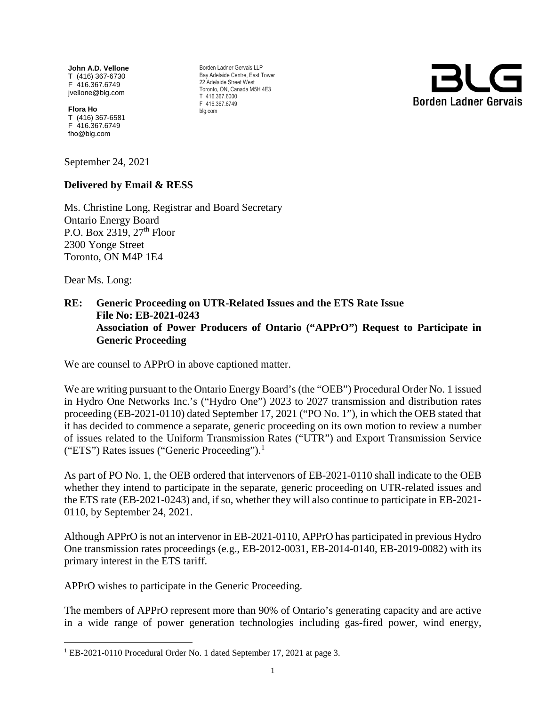**John A.D. Vellone** T (416) 367-6730 F 416.367.6749 jvellone@blg.com

**Flora Ho**  T (416) 367-6581 F 416.367.6749 fho@blg.com

September 24, 2021

#### **Delivered by Email & RESS**

Ms. Christine Long, Registrar and Board Secretary Ontario Energy Board P.O. Box 2319,  $27<sup>th</sup>$  Floor 2300 Yonge Street Toronto, ON M4P 1E4

Dear Ms. Long:

## **RE: Generic Proceeding on UTR-Related Issues and the ETS Rate Issue File No: EB-2021-0243 Association of Power Producers of Ontario ("APPrO") Request to Participate in Generic Proceeding**

We are counsel to APPrO in above captioned matter.

We are writing pursuant to the Ontario Energy Board's (the "OEB") Procedural Order No. 1 issued in Hydro One Networks Inc.'s ("Hydro One") 2023 to 2027 transmission and distribution rates proceeding (EB-2021-0110) dated September 17, 2021 ("PO No. 1"), in which the OEB stated that it has decided to commence a separate, generic proceeding on its own motion to review a number of issues related to the Uniform Transmission Rates ("UTR") and Export Transmission Service ("ETS") Rates issues ("Generic Proceeding"). $<sup>1</sup>$  $<sup>1</sup>$  $<sup>1</sup>$ </sup>

As part of PO No. 1, the OEB ordered that intervenors of EB-2021-0110 shall indicate to the OEB whether they intend to participate in the separate, generic proceeding on UTR-related issues and the ETS rate (EB-2021-0243) and, if so, whether they will also continue to participate in EB-2021- 0110, by September 24, 2021.

Although APPrO is not an intervenor in EB-2021-0110, APPrO has participated in previous Hydro One transmission rates proceedings (e.g., EB-2012-0031, EB-2014-0140, EB-2019-0082) with its primary interest in the ETS tariff.

APPrO wishes to participate in the Generic Proceeding.

The members of APPrO represent more than 90% of Ontario's generating capacity and are active in a wide range of power generation technologies including gas-fired power, wind energy,



<span id="page-0-0"></span><sup>&</sup>lt;sup>1</sup> EB-2021-0110 Procedural Order No. 1 dated September 17, 2021 at page 3.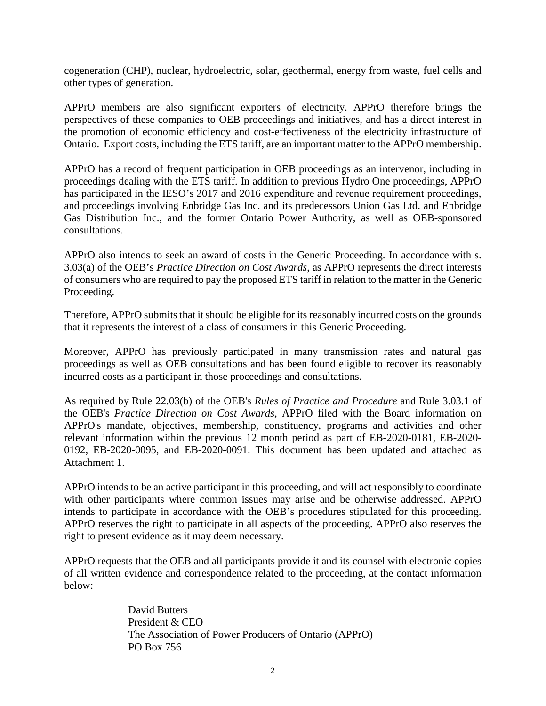cogeneration (CHP), nuclear, hydroelectric, solar, geothermal, energy from waste, fuel cells and other types of generation.

APPrO members are also significant exporters of electricity. APPrO therefore brings the perspectives of these companies to OEB proceedings and initiatives, and has a direct interest in the promotion of economic efficiency and cost-effectiveness of the electricity infrastructure of Ontario. Export costs, including the ETS tariff, are an important matter to the APPrO membership.

APPrO has a record of frequent participation in OEB proceedings as an intervenor, including in proceedings dealing with the ETS tariff. In addition to previous Hydro One proceedings, APPrO has participated in the IESO's 2017 and 2016 expenditure and revenue requirement proceedings, and proceedings involving Enbridge Gas Inc. and its predecessors Union Gas Ltd. and Enbridge Gas Distribution Inc., and the former Ontario Power Authority, as well as OEB-sponsored consultations.

APPrO also intends to seek an award of costs in the Generic Proceeding. In accordance with s. 3.03(a) of the OEB's *Practice Direction on Cost Awards*, as APPrO represents the direct interests of consumers who are required to pay the proposed ETS tariff in relation to the matter in the Generic Proceeding.

Therefore, APPrO submits that it should be eligible for its reasonably incurred costs on the grounds that it represents the interest of a class of consumers in this Generic Proceeding.

Moreover, APPrO has previously participated in many transmission rates and natural gas proceedings as well as OEB consultations and has been found eligible to recover its reasonably incurred costs as a participant in those proceedings and consultations.

As required by Rule 22.03(b) of the OEB's *Rules of Practice and Procedure* and Rule 3.03.1 of the OEB's *Practice Direction on Cost Awards*, APPrO filed with the Board information on APPrO's mandate, objectives, membership, constituency, programs and activities and other relevant information within the previous 12 month period as part of EB-2020-0181, EB-2020- 0192, EB-2020-0095, and EB-2020-0091. This document has been updated and attached as Attachment 1.

APPrO intends to be an active participant in this proceeding, and will act responsibly to coordinate with other participants where common issues may arise and be otherwise addressed. APPrO intends to participate in accordance with the OEB's procedures stipulated for this proceeding. APPrO reserves the right to participate in all aspects of the proceeding. APPrO also reserves the right to present evidence as it may deem necessary.

APPrO requests that the OEB and all participants provide it and its counsel with electronic copies of all written evidence and correspondence related to the proceeding, at the contact information below:

> David Butters President & CEO The Association of Power Producers of Ontario (APPrO) PO Box 756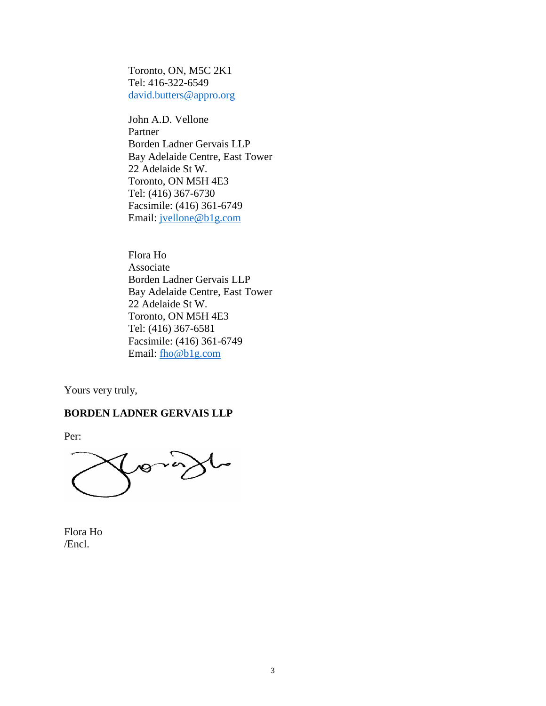Toronto, ON, M5C 2K1 Tel: 416-322-6549 [david.butters@appro.org](mailto:david.butters@appro.org) 

John A.D. Vellone Partner Borden Ladner Gervais LLP Bay Adelaide Centre, East Tower 22 Adelaide St W. Toronto, ON M5H 4E3 Tel: (416) 367-6730 Facsimile: (416) 361-6749 Email: [jvellone@b1g.com](mailto:jvellone@b1g.com)

Flora Ho Associate Borden Ladner Gervais LLP Bay Adelaide Centre, East Tower 22 Adelaide St W. Toronto, ON M5H 4E3 Tel: (416) 367-6581 Facsimile: (416) 361-6749 Email: [fho@b1g.com](mailto:fho@b1g.com)

Yours very truly,

### **BORDEN LADNER GERVAIS LLP**

Per:

 $\sqrt{9}$ 

Flora Ho /Encl.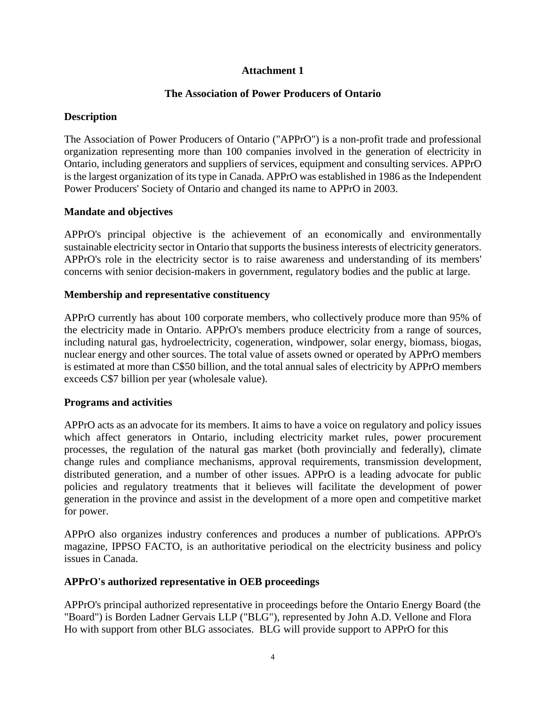# **Attachment 1**

# **The Association of Power Producers of Ontario**

## **Description**

The Association of Power Producers of Ontario ("APPrO") is a non-profit trade and professional organization representing more than 100 companies involved in the generation of electricity in Ontario, including generators and suppliers of services, equipment and consulting services. APPrO is the largest organization of its type in Canada. APPrO was established in 1986 as the Independent Power Producers' Society of Ontario and changed its name to APPrO in 2003.

### **Mandate and objectives**

APPrO's principal objective is the achievement of an economically and environmentally sustainable electricity sector in Ontario that supports the business interests of electricity generators. APPrO's role in the electricity sector is to raise awareness and understanding of its members' concerns with senior decision-makers in government, regulatory bodies and the public at large.

### **Membership and representative constituency**

APPrO currently has about 100 corporate members, who collectively produce more than 95% of the electricity made in Ontario. APPrO's members produce electricity from a range of sources, including natural gas, hydroelectricity, cogeneration, windpower, solar energy, biomass, biogas, nuclear energy and other sources. The total value of assets owned or operated by APPrO members is estimated at more than C\$50 billion, and the total annual sales of electricity by APPrO members exceeds C\$7 billion per year (wholesale value).

# **Programs and activities**

APPrO acts as an advocate for its members. It aims to have a voice on regulatory and policy issues which affect generators in Ontario, including electricity market rules, power procurement processes, the regulation of the natural gas market (both provincially and federally), climate change rules and compliance mechanisms, approval requirements, transmission development, distributed generation, and a number of other issues. APPrO is a leading advocate for public policies and regulatory treatments that it believes will facilitate the development of power generation in the province and assist in the development of a more open and competitive market for power.

APPrO also organizes industry conferences and produces a number of publications. APPrO's magazine, IPPSO FACTO, is an authoritative periodical on the electricity business and policy issues in Canada.

# **APPrO's authorized representative in OEB proceedings**

APPrO's principal authorized representative in proceedings before the Ontario Energy Board (the "Board") is Borden Ladner Gervais LLP ("BLG"), represented by John A.D. Vellone and Flora Ho with support from other BLG associates. BLG will provide support to APPrO for this